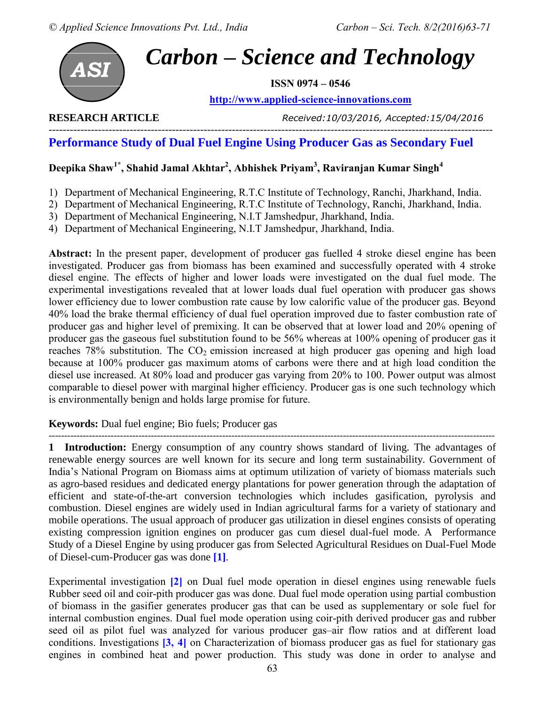

**ISSN 0974 – 0546**

**[http://www.applied-science-innovations.com](http://www.applied-science-innovations.com/)**

**RESEARCH ARTICLE** *Received:10/03/2016, Accepted:15/04/2016*

#### ------------------------------------------------------------------------------------------------------------------------------ **Performance Study of Dual Fuel Engine Using Producer Gas as Secondary Fuel**

# **Deepika Shaw1\*, Shahid Jamal Akhtar<sup>2</sup> , Abhishek Priyam<sup>3</sup> , Raviranjan Kumar Singh<sup>4</sup>**

- 1) Department of Mechanical Engineering, R.T.C Institute of Technology, Ranchi, Jharkhand, India.
- 2) Department of Mechanical Engineering, R.T.C Institute of Technology, Ranchi, Jharkhand, India.
- 3) Department of Mechanical Engineering, N.I.T Jamshedpur, Jharkhand, India.
- 4) Department of Mechanical Engineering, N.I.T Jamshedpur, Jharkhand, India.

**Abstract:** In the present paper, development of producer gas fuelled 4 stroke diesel engine has been investigated. Producer gas from biomass has been examined and successfully operated with 4 stroke diesel engine. The effects of higher and lower loads were investigated on the dual fuel mode. The experimental investigations revealed that at lower loads dual fuel operation with producer gas shows lower efficiency due to lower combustion rate cause by low calorific value of the producer gas. Beyond 40% load the brake thermal efficiency of dual fuel operation improved due to faster combustion rate of producer gas and higher level of premixing. It can be observed that at lower load and 20% opening of producer gas the gaseous fuel substitution found to be 56% whereas at 100% opening of producer gas it reaches 78% substitution. The  $CO<sub>2</sub>$  emission increased at high producer gas opening and high load because at 100% producer gas maximum atoms of carbons were there and at high load condition the diesel use increased. At 80% load and producer gas varying from 20% to 100. Power output was almost comparable to diesel power with marginal higher efficiency. Producer gas is one such technology which is environmentally benign and holds large promise for future.

## **Keywords:** Dual fuel engine; Bio fuels; Producer gas

------------------------------------------------------------------------------------------------------------------------------------------------ **1 Introduction:** Energy consumption of any country shows standard of living. The advantages of renewable energy sources are well known for its secure and long term sustainability. Government of India's National Program on Biomass aims at optimum utilization of variety of biomass materials such as agro-based residues and dedicated energy plantations for power generation through the adaptation of efficient and state-of-the-art conversion technologies which includes gasification, pyrolysis and combustion. Diesel engines are widely used in Indian agricultural farms for a variety of stationary and mobile operations. The usual approach of producer gas utilization in diesel engines consists of operating existing compression ignition engines on producer gas cum diesel dual-fuel mode. A Performance Study of a Diesel Engine by using producer gas from Selected Agricultural Residues on Dual-Fuel Mode of Diesel-cum-Producer gas was done **[1]**.

Experimental investigation **[2]** on Dual fuel mode operation in diesel engines using renewable fuels Rubber seed oil and coir-pith producer gas was done. Dual fuel mode operation using partial combustion of biomass in the gasifier generates producer gas that can be used as supplementary or sole fuel for internal combustion engines. Dual fuel mode operation using coir-pith derived producer gas and rubber seed oil as pilot fuel was analyzed for various producer gas–air flow ratios and at different load conditions. Investigations **[3, 4]** on Characterization of biomass producer gas as fuel for stationary gas engines in combined heat and power production. This study was done in order to analyse and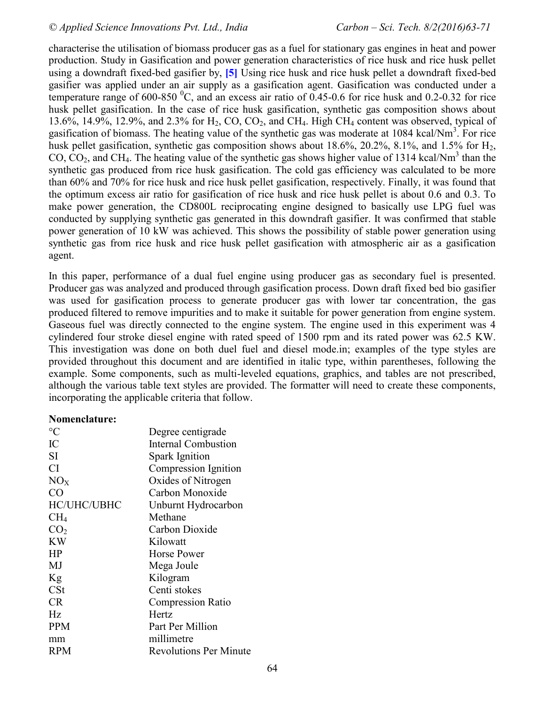characterise the utilisation of biomass producer gas as a fuel for stationary gas engines in heat and power production. Study in Gasification and power generation characteristics of rice husk and rice husk pellet using a downdraft fixed-bed gasifier by, **[5]** Using rice husk and rice husk pellet a downdraft fixed-bed gasifier was applied under an air supply as a gasification agent. Gasification was conducted under a temperature range of 600-850  $^0$ C, and an excess air ratio of 0.45-0.6 for rice husk and 0.2-0.32 for rice husk pellet gasification. In the case of rice husk gasification, synthetic gas composition shows about 13.6%, 14.9%, 12.9%, and 2.3% for  $H_2$ , CO, CO<sub>2</sub>, and CH<sub>4</sub>. High CH<sub>4</sub> content was observed, typical of gasification of biomass. The heating value of the synthetic gas was moderate at 1084 kcal/Nm<sup>3</sup>. For rice husk pellet gasification, synthetic gas composition shows about  $18.6\%$ ,  $20.2\%$ ,  $8.1\%$ , and  $1.5\%$  for  $H_2$ ,  $CO$ ,  $CO<sub>2</sub>$ , and CH<sub>4</sub>. The heating value of the synthetic gas shows higher value of 1314 kcal/Nm<sup>3</sup> than the synthetic gas produced from rice husk gasification. The cold gas efficiency was calculated to be more than 60% and 70% for rice husk and rice husk pellet gasification, respectively. Finally, it was found that the optimum excess air ratio for gasification of rice husk and rice husk pellet is about 0.6 and 0.3. To make power generation, the CD800L reciprocating engine designed to basically use LPG fuel was conducted by supplying synthetic gas generated in this downdraft gasifier. It was confirmed that stable power generation of 10 kW was achieved. This shows the possibility of stable power generation using synthetic gas from rice husk and rice husk pellet gasification with atmospheric air as a gasification agent.

In this paper, performance of a dual fuel engine using producer gas as secondary fuel is presented. Producer gas was analyzed and produced through gasification process. Down draft fixed bed bio gasifier was used for gasification process to generate producer gas with lower tar concentration, the gas produced filtered to remove impurities and to make it suitable for power generation from engine system. Gaseous fuel was directly connected to the engine system. The engine used in this experiment was 4 cylindered four stroke diesel engine with rated speed of 1500 rpm and its rated power was 62.5 KW. This investigation was done on both duel fuel and diesel mode.in; examples of the type styles are provided throughout this document and are identified in italic type, within parentheses, following the example. Some components, such as multi-leveled equations, graphics, and tables are not prescribed, although the various table text styles are provided. The formatter will need to create these components, incorporating the applicable criteria that follow.

#### **Nomenclature:**

| $\rm ^{\circ}C$ | Degree centigrade             |
|-----------------|-------------------------------|
| IC              | <b>Internal Combustion</b>    |
| <b>SI</b>       | Spark Ignition                |
| <b>CI</b>       | Compression Ignition          |
| NO <sub>X</sub> | Oxides of Nitrogen            |
| CO <sup>-</sup> | Carbon Monoxide               |
| HC/UHC/UBHC     | Unburnt Hydrocarbon           |
| CH <sub>4</sub> | Methane                       |
| CO <sub>2</sub> | Carbon Dioxide                |
| <b>KW</b>       | Kilowatt                      |
| HP              | Horse Power                   |
| MJ              | Mega Joule                    |
| Kg              | Kilogram                      |
| $\mathsf{C}$ St | Centi stokes                  |
| <b>CR</b>       | <b>Compression Ratio</b>      |
| Hz              | Hertz                         |
| <b>PPM</b>      | Part Per Million              |
| mm              | millimetre                    |
| <b>RPM</b>      | <b>Revolutions Per Minute</b> |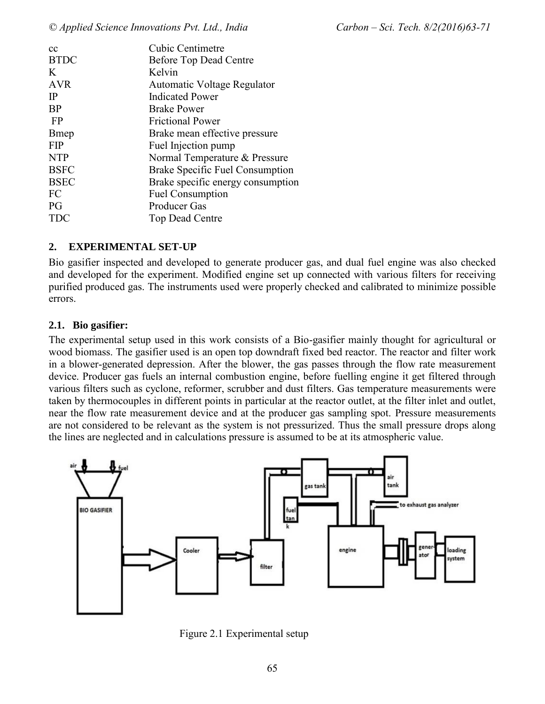| cc           | <b>Cubic Centimetre</b>           |
|--------------|-----------------------------------|
| <b>BTDC</b>  | <b>Before Top Dead Centre</b>     |
| K            | Kelvin                            |
| <b>AVR</b>   | Automatic Voltage Regulator       |
| $_{\rm IP}$  | <b>Indicated Power</b>            |
| <b>BP</b>    | <b>Brake Power</b>                |
| FP           | <b>Frictional Power</b>           |
| <b>B</b> mep | Brake mean effective pressure     |
| <b>FIP</b>   | Fuel Injection pump               |
| <b>NTP</b>   | Normal Temperature & Pressure     |
| <b>BSFC</b>  | Brake Specific Fuel Consumption   |
| <b>BSEC</b>  | Brake specific energy consumption |
| FC           | <b>Fuel Consumption</b>           |
| PG           | <b>Producer Gas</b>               |
|              | <b>Top Dead Centre</b>            |
|              |                                   |

#### **2. EXPERIMENTAL SET-UP**

Bio gasifier inspected and developed to generate producer gas, and dual fuel engine was also checked and developed for the experiment. Modified engine set up connected with various filters for receiving purified produced gas. The instruments used were properly checked and calibrated to minimize possible errors.

#### **2.1. Bio gasifier:**

The experimental setup used in this work consists of a Bio-gasifier mainly thought for agricultural or wood biomass. The gasifier used is an open top downdraft fixed bed reactor. The reactor and filter work in a blower-generated depression. After the blower, the gas passes through the flow rate measurement device. Producer gas fuels an internal combustion engine, before fuelling engine it get filtered through various filters such as cyclone, reformer, scrubber and dust filters. Gas temperature measurements were taken by thermocouples in different points in particular at the reactor outlet, at the filter inlet and outlet, near the flow rate measurement device and at the producer gas sampling spot. Pressure measurements are not considered to be relevant as the system is not pressurized. Thus the small pressure drops along the lines are neglected and in calculations pressure is assumed to be at its atmospheric value.



Figure 2.1 Experimental setup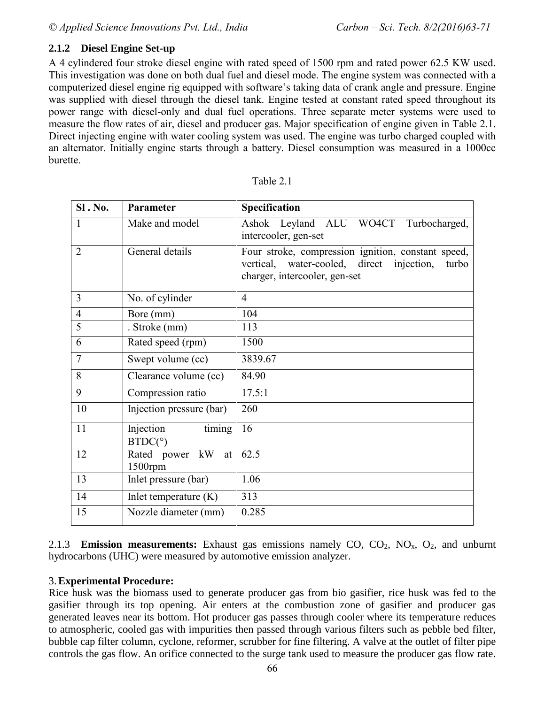## **2.1.2 Diesel Engine Set-up**

A 4 cylindered four stroke diesel engine with rated speed of 1500 rpm and rated power 62.5 KW used. This investigation was done on both dual fuel and diesel mode. The engine system was connected with a computerized diesel engine rig equipped with software's taking data of crank angle and pressure. Engine was supplied with diesel through the diesel tank. Engine tested at constant rated speed throughout its power range with diesel-only and dual fuel operations. Three separate meter systems were used to measure the flow rates of air, diesel and producer gas. Major specification of engine given in Table 2.1. Direct injecting engine with water cooling system was used. The engine was turbo charged coupled with an alternator. Initially engine starts through a battery. Diesel consumption was measured in a 1000cc burette.

| SI. No.        | Parameter                | Specification                                                 |
|----------------|--------------------------|---------------------------------------------------------------|
|                | Make and model           | Ashok Leyland ALU WO4CT Turbocharged,<br>intercooler, gen-set |
|                |                          |                                                               |
| $\overline{2}$ | General details          | Four stroke, compression ignition, constant speed,            |
|                |                          | vertical, water-cooled, direct injection,<br>turbo            |
|                |                          | charger, intercooler, gen-set                                 |
| 3              | No. of cylinder          | $\overline{4}$                                                |
| $\overline{4}$ | Bore (mm)                | 104                                                           |
| 5              | . Stroke (mm)            | 113                                                           |
| 6              | Rated speed (rpm)        | 1500                                                          |
| $\overline{7}$ | Swept volume (cc)        | 3839.67                                                       |
| 8              | Clearance volume (cc)    | 84.90                                                         |
| 9              | Compression ratio        | 17.5:1                                                        |
| 10             | Injection pressure (bar) | 260                                                           |
| 11             | timing<br>Injection      | 16                                                            |
|                | BTDC(°)                  |                                                               |
| 12             | Rated power<br>kW<br>at  | 62.5                                                          |
|                | 1500rpm                  |                                                               |
| 13             | Inlet pressure (bar)     | 1.06                                                          |
| 14             | Inlet temperature $(K)$  | 313                                                           |
| 15             | Nozzle diameter (mm)     | 0.285                                                         |

| able |
|------|
|------|

2.1.3 **Emission measurements:** Exhaust gas emissions namely CO,  $CO_2$ ,  $NO_x$ ,  $O_2$ , and unburnt hydrocarbons (UHC) were measured by automotive emission analyzer.

#### 3.**Experimental Procedure:**

Rice husk was the biomass used to generate producer gas from bio gasifier, rice husk was fed to the gasifier through its top opening. Air enters at the combustion zone of gasifier and producer gas generated leaves near its bottom. Hot producer gas passes through cooler where its temperature reduces to atmospheric, cooled gas with impurities then passed through various filters such as pebble bed filter, bubble cap filter column, cyclone, reformer, scrubber for fine filtering. A valve at the outlet of filter pipe controls the gas flow. An orifice connected to the surge tank used to measure the producer gas flow rate.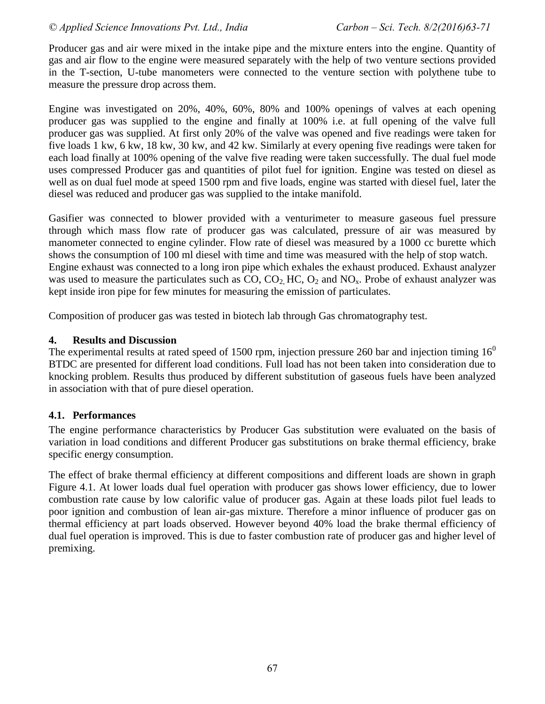Producer gas and air were mixed in the intake pipe and the mixture enters into the engine. Quantity of gas and air flow to the engine were measured separately with the help of two venture sections provided in the T-section, U-tube manometers were connected to the venture section with polythene tube to measure the pressure drop across them.

Engine was investigated on 20%, 40%, 60%, 80% and 100% openings of valves at each opening producer gas was supplied to the engine and finally at 100% i.e. at full opening of the valve full producer gas was supplied. At first only 20% of the valve was opened and five readings were taken for five loads 1 kw, 6 kw, 18 kw, 30 kw, and 42 kw. Similarly at every opening five readings were taken for each load finally at 100% opening of the valve five reading were taken successfully. The dual fuel mode uses compressed Producer gas and quantities of pilot fuel for ignition. Engine was tested on diesel as well as on dual fuel mode at speed 1500 rpm and five loads, engine was started with diesel fuel, later the diesel was reduced and producer gas was supplied to the intake manifold.

Gasifier was connected to blower provided with a venturimeter to measure gaseous fuel pressure through which mass flow rate of producer gas was calculated, pressure of air was measured by manometer connected to engine cylinder. Flow rate of diesel was measured by a 1000 cc burette which shows the consumption of 100 ml diesel with time and time was measured with the help of stop watch. Engine exhaust was connected to a long iron pipe which exhales the exhaust produced. Exhaust analyzer was used to measure the particulates such as  $CO$ ,  $CO<sub>2</sub>$  HC,  $O<sub>2</sub>$  and NO<sub>x</sub>. Probe of exhaust analyzer was kept inside iron pipe for few minutes for measuring the emission of particulates.

Composition of producer gas was tested in biotech lab through Gas chromatography test.

#### **4. Results and Discussion**

The experimental results at rated speed of 1500 rpm, injection pressure 260 bar and injection timing  $16<sup>0</sup>$ BTDC are presented for different load conditions. Full load has not been taken into consideration due to knocking problem. Results thus produced by different substitution of gaseous fuels have been analyzed in association with that of pure diesel operation.

## **4.1. Performances**

The engine performance characteristics by Producer Gas substitution were evaluated on the basis of variation in load conditions and different Producer gas substitutions on brake thermal efficiency, brake specific energy consumption.

The effect of brake thermal efficiency at different compositions and different loads are shown in graph Figure 4.1. At lower loads dual fuel operation with producer gas shows lower efficiency, due to lower combustion rate cause by low calorific value of producer gas. Again at these loads pilot fuel leads to poor ignition and combustion of lean air-gas mixture. Therefore a minor influence of producer gas on thermal efficiency at part loads observed. However beyond 40% load the brake thermal efficiency of dual fuel operation is improved. This is due to faster combustion rate of producer gas and higher level of premixing.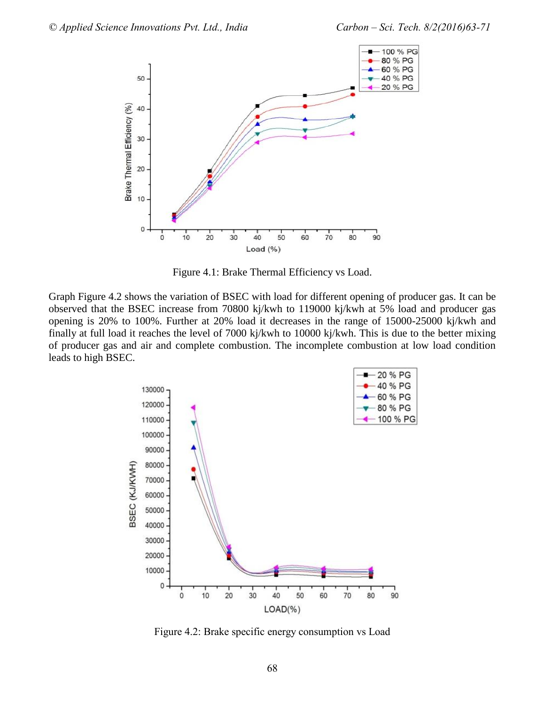

Figure 4.1: Brake Thermal Efficiency vs Load.

Graph Figure 4.2 shows the variation of BSEC with load for different opening of producer gas. It can be observed that the BSEC increase from 70800 kj/kwh to 119000 kj/kwh at 5% load and producer gas opening is 20% to 100%. Further at 20% load it decreases in the range of 15000-25000 kj/kwh and finally at full load it reaches the level of 7000 kj/kwh to 10000 kj/kwh. This is due to the better mixing of producer gas and air and complete combustion. The incomplete combustion at low load condition leads to high BSEC.



Figure 4.2: Brake specific energy consumption vs Load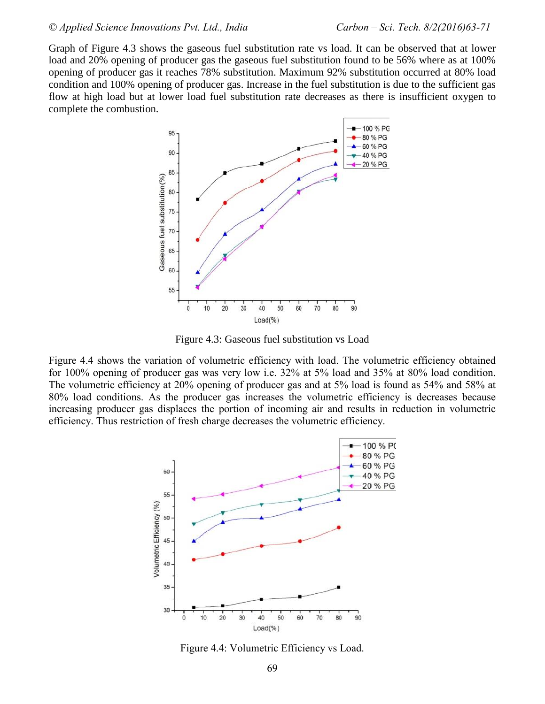Graph of Figure 4.3 shows the gaseous fuel substitution rate vs load. It can be observed that at lower load and 20% opening of producer gas the gaseous fuel substitution found to be 56% where as at 100% opening of producer gas it reaches 78% substitution. Maximum 92% substitution occurred at 80% load condition and 100% opening of producer gas. Increase in the fuel substitution is due to the sufficient gas flow at high load but at lower load fuel substitution rate decreases as there is insufficient oxygen to complete the combustion.



Figure 4.3: Gaseous fuel substitution vs Load

Figure 4.4 shows the variation of volumetric efficiency with load. The volumetric efficiency obtained for 100% opening of producer gas was very low i.e. 32% at 5% load and 35% at 80% load condition. The volumetric efficiency at 20% opening of producer gas and at 5% load is found as 54% and 58% at 80% load conditions. As the producer gas increases the volumetric efficiency is decreases because increasing producer gas displaces the portion of incoming air and results in reduction in volumetric efficiency. Thus restriction of fresh charge decreases the volumetric efficiency.



Figure 4.4: Volumetric Efficiency vs Load.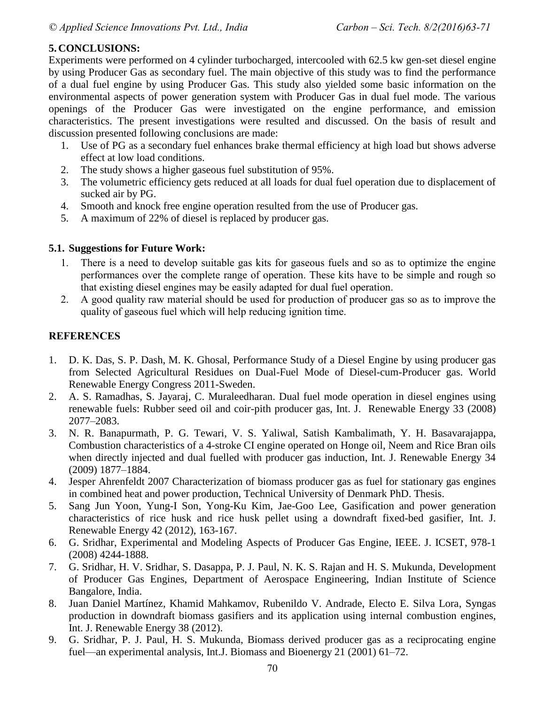## **5. CONCLUSIONS:**

Experiments were performed on 4 cylinder turbocharged, intercooled with 62.5 kw gen-set diesel engine by using Producer Gas as secondary fuel. The main objective of this study was to find the performance of a dual fuel engine by using Producer Gas. This study also yielded some basic information on the environmental aspects of power generation system with Producer Gas in dual fuel mode. The various openings of the Producer Gas were investigated on the engine performance, and emission characteristics. The present investigations were resulted and discussed. On the basis of result and discussion presented following conclusions are made:

- 1. Use of PG as a secondary fuel enhances brake thermal efficiency at high load but shows adverse effect at low load conditions.
- 2. The study shows a higher gaseous fuel substitution of 95%.
- 3. The volumetric efficiency gets reduced at all loads for dual fuel operation due to displacement of sucked air by PG.
- 4. Smooth and knock free engine operation resulted from the use of Producer gas.
- 5. A maximum of 22% of diesel is replaced by producer gas.

# **5.1. Suggestions for Future Work:**

- 1. There is a need to develop suitable gas kits for gaseous fuels and so as to optimize the engine performances over the complete range of operation. These kits have to be simple and rough so that existing diesel engines may be easily adapted for dual fuel operation.
- 2. A good quality raw material should be used for production of producer gas so as to improve the quality of gaseous fuel which will help reducing ignition time.

# **REFERENCES**

- 1. D. K. Das, S. P. Dash, M. K. Ghosal, Performance Study of a Diesel Engine by using producer gas from Selected Agricultural Residues on Dual-Fuel Mode of Diesel-cum-Producer gas. World Renewable Energy Congress 2011-Sweden.
- 2. A. S. Ramadhas, S. Jayaraj, C. Muraleedharan. Dual fuel mode operation in diesel engines using renewable fuels: Rubber seed oil and coir-pith producer gas, Int. J. Renewable Energy 33 (2008) 2077–2083.
- 3. N. R. Banapurmath, P. G. Tewari, V. S. Yaliwal, Satish Kambalimath, Y. H. Basavarajappa, Combustion characteristics of a 4-stroke CI engine operated on Honge oil, Neem and Rice Bran oils when directly injected and dual fuelled with producer gas induction, Int. J. Renewable Energy 34 (2009) 1877–1884.
- 4. Jesper Ahrenfeldt 2007 Characterization of biomass producer gas as fuel for stationary gas engines in combined heat and power production, Technical University of Denmark PhD. Thesis.
- 5. Sang Jun Yoon, Yung-I Son, Yong-Ku Kim, Jae-Goo Lee, Gasification and power generation characteristics of rice husk and rice husk pellet using a downdraft fixed-bed gasifier, Int. J. Renewable Energy 42 (2012), 163-167.
- 6. G. Sridhar, Experimental and Modeling Aspects of Producer Gas Engine, IEEE. J. ICSET, 978-1 (2008) 4244-1888.
- 7. G. Sridhar, H. V. Sridhar, S. Dasappa, P. J. Paul, N. K. S. Rajan and H. S. Mukunda, Development of Producer Gas Engines, Department of Aerospace Engineering, Indian Institute of Science Bangalore, India.
- 8. Juan Daniel Martínez, Khamid Mahkamov, Rubenildo V. Andrade, Electo E. Silva Lora, Syngas production in downdraft biomass gasifiers and its application using internal combustion engines, Int. J. Renewable Energy 38 (2012).
- 9. G. Sridhar, P. J. Paul, H. S. Mukunda, Biomass derived producer gas as a reciprocating engine fuel—an experimental analysis, Int.J. Biomass and Bioenergy 21 (2001) 61–72.